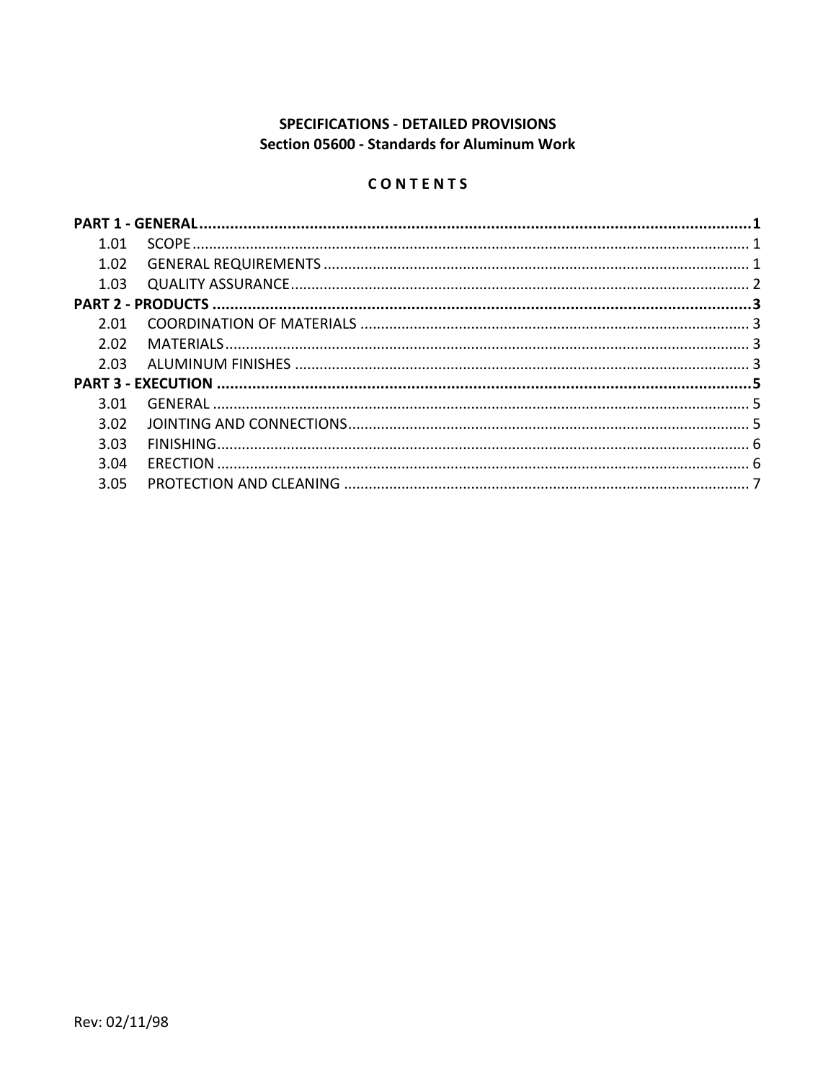# **SPECIFICATIONS - DETAILED PROVISIONS Section 05600 - Standards for Aluminum Work**

## CONTENTS

| 1.01 |  |  |  |
|------|--|--|--|
| 1.02 |  |  |  |
| 1.03 |  |  |  |
|      |  |  |  |
| 2.01 |  |  |  |
| 2.02 |  |  |  |
| 2.03 |  |  |  |
|      |  |  |  |
| 3.01 |  |  |  |
| 3.02 |  |  |  |
| 3.03 |  |  |  |
| 3.04 |  |  |  |
| 3.05 |  |  |  |
|      |  |  |  |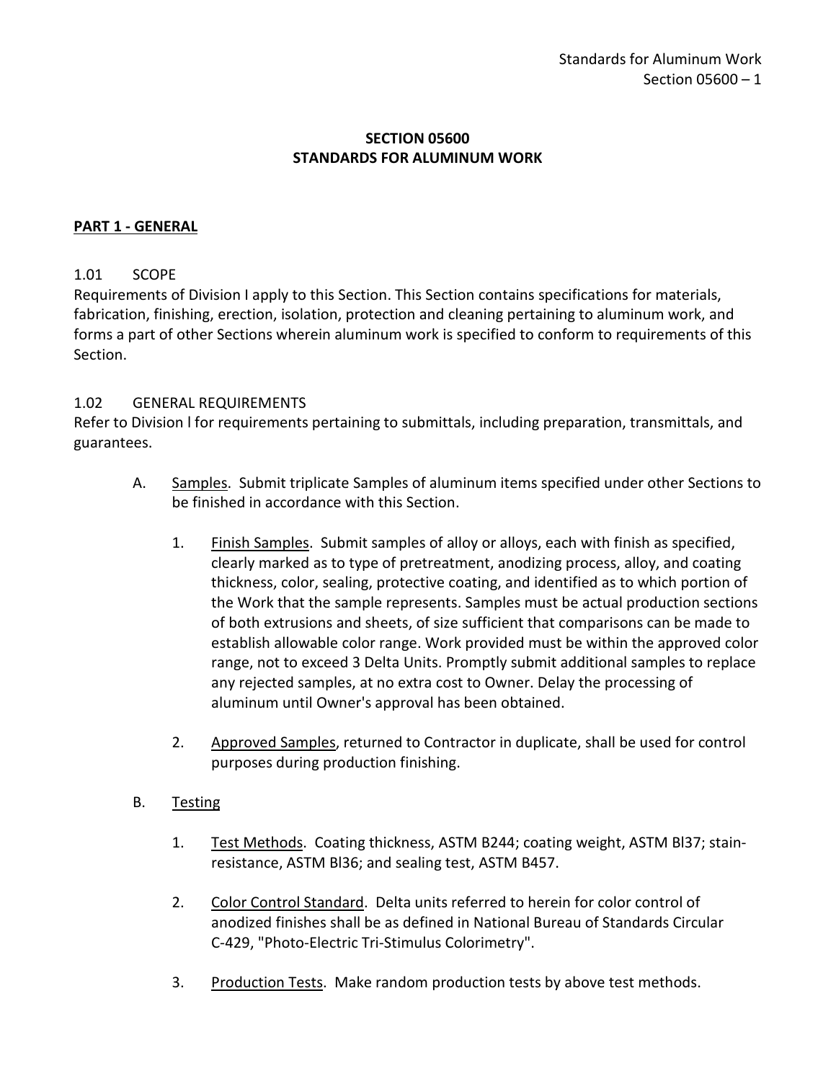### **SECTION 05600 STANDARDS FOR ALUMINUM WORK**

### <span id="page-2-0"></span>**PART 1 - GENERAL**

### <span id="page-2-1"></span>1.01 SCOPE

Requirements of Division I apply to this Section. This Section contains specifications for materials, fabrication, finishing, erection, isolation, protection and cleaning pertaining to aluminum work, and forms a part of other Sections wherein aluminum work is specified to conform to requirements of this Section.

#### <span id="page-2-2"></span>1.02 GENERAL REQUIREMENTS

Refer to Division l for requirements pertaining to submittals, including preparation, transmittals, and guarantees.

- A. Samples. Submit triplicate Samples of aluminum items specified under other Sections to be finished in accordance with this Section.
	- 1. Finish Samples. Submit samples of alloy or alloys, each with finish as specified, clearly marked as to type of pretreatment, anodizing process, alloy, and coating thickness, color, sealing, protective coating, and identified as to which portion of the Work that the sample represents. Samples must be actual production sections of both extrusions and sheets, of size sufficient that comparisons can be made to establish allowable color range. Work provided must be within the approved color range, not to exceed 3 Delta Units. Promptly submit additional samples to replace any rejected samples, at no extra cost to Owner. Delay the processing of aluminum until Owner's approval has been obtained.
	- 2. Approved Samples, returned to Contractor in duplicate, shall be used for control purposes during production finishing.

#### B. Testing

- 1. Test Methods. Coating thickness, ASTM B244; coating weight, ASTM Bl37; stainresistance, ASTM Bl36; and sealing test, ASTM B457.
- 2. Color Control Standard. Delta units referred to herein for color control of anodized finishes shall be as defined in National Bureau of Standards Circular C-429, "Photo-Electric Tri-Stimulus Colorimetry".
- 3. Production Tests. Make random production tests by above test methods.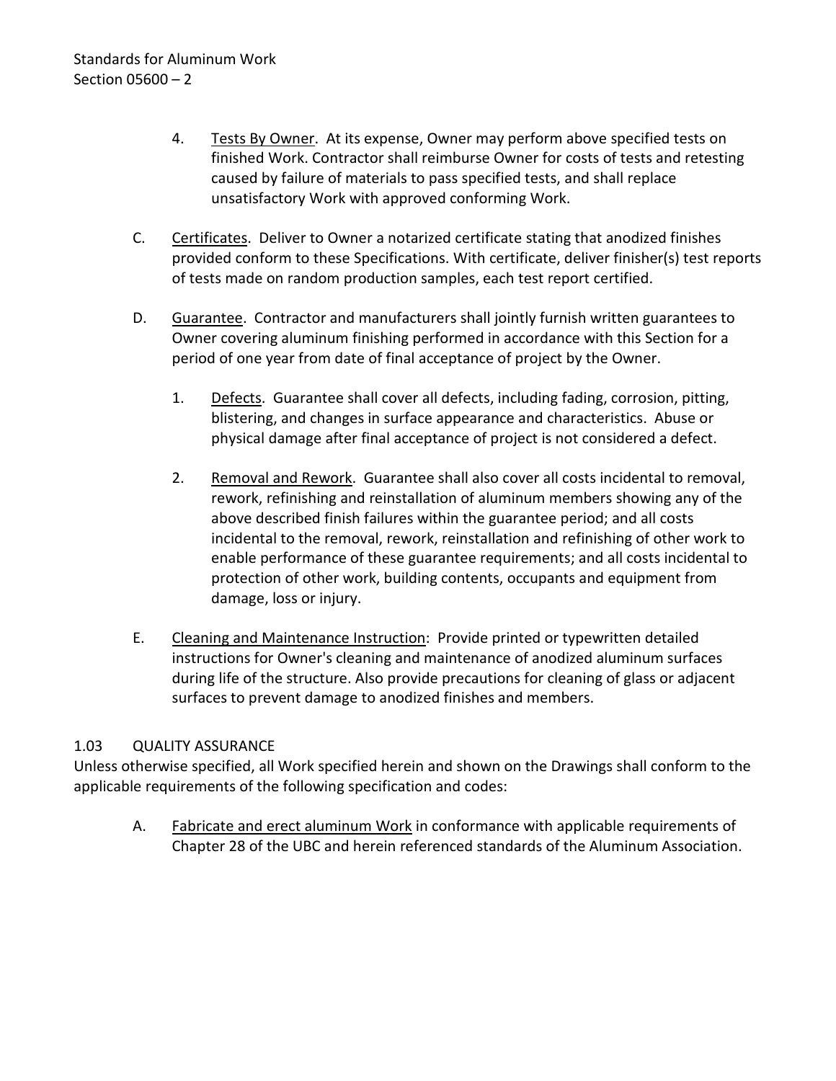- 4. Tests By Owner. At its expense, Owner may perform above specified tests on finished Work. Contractor shall reimburse Owner for costs of tests and retesting caused by failure of materials to pass specified tests, and shall replace unsatisfactory Work with approved conforming Work.
- C. Certificates. Deliver to Owner a notarized certificate stating that anodized finishes provided conform to these Specifications. With certificate, deliver finisher(s) test reports of tests made on random production samples, each test report certified.
- D. Guarantee. Contractor and manufacturers shall jointly furnish written guarantees to Owner covering aluminum finishing performed in accordance with this Section for a period of one year from date of final acceptance of project by the Owner.
	- 1. Defects. Guarantee shall cover all defects, including fading, corrosion, pitting, blistering, and changes in surface appearance and characteristics. Abuse or physical damage after final acceptance of project is not considered a defect.
	- 2. Removal and Rework. Guarantee shall also cover all costs incidental to removal, rework, refinishing and reinstallation of aluminum members showing any of the above described finish failures within the guarantee period; and all costs incidental to the removal, rework, reinstallation and refinishing of other work to enable performance of these guarantee requirements; and all costs incidental to protection of other work, building contents, occupants and equipment from damage, loss or injury.
- E. Cleaning and Maintenance Instruction: Provide printed or typewritten detailed instructions for Owner's cleaning and maintenance of anodized aluminum surfaces during life of the structure. Also provide precautions for cleaning of glass or adjacent surfaces to prevent damage to anodized finishes and members.

### <span id="page-3-0"></span>1.03 QUALITY ASSURANCE

Unless otherwise specified, all Work specified herein and shown on the Drawings shall conform to the applicable requirements of the following specification and codes:

A. Fabricate and erect aluminum Work in conformance with applicable requirements of Chapter 28 of the UBC and herein referenced standards of the Aluminum Association.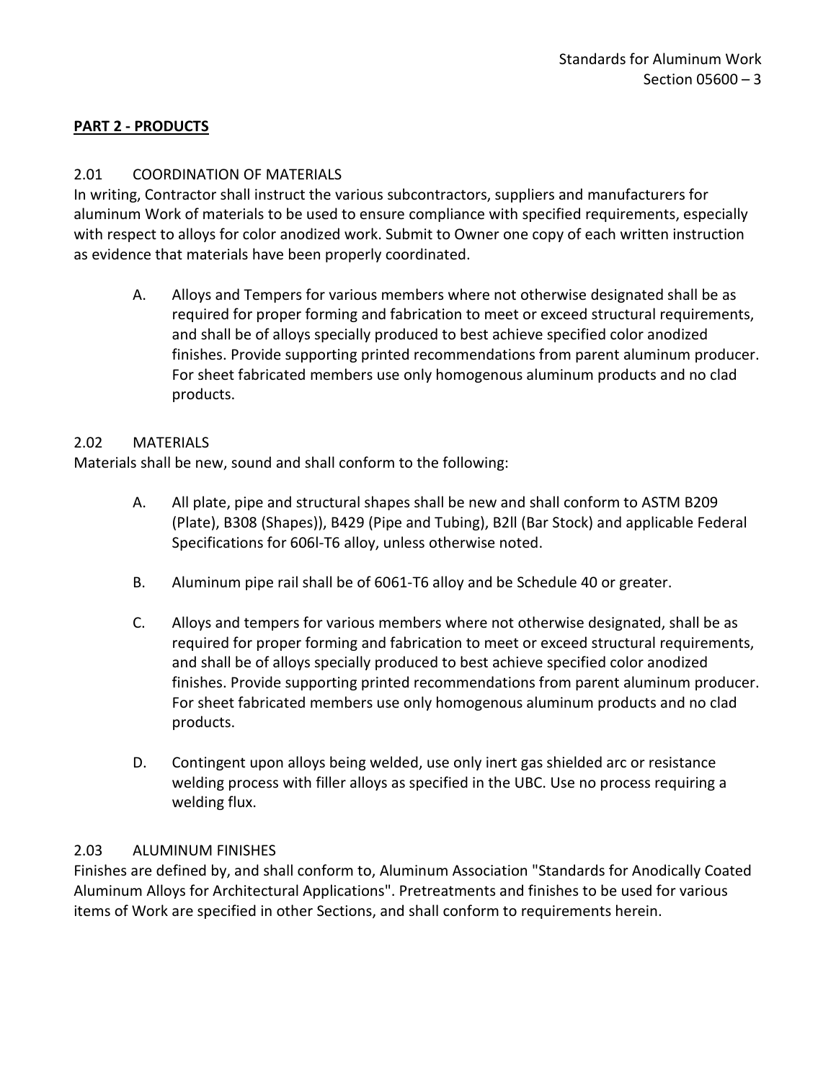## <span id="page-4-0"></span>**PART 2 - PRODUCTS**

### <span id="page-4-1"></span>2.01 COORDINATION OF MATERIALS

In writing, Contractor shall instruct the various subcontractors, suppliers and manufacturers for aluminum Work of materials to be used to ensure compliance with specified requirements, especially with respect to alloys for color anodized work. Submit to Owner one copy of each written instruction as evidence that materials have been properly coordinated.

A. Alloys and Tempers for various members where not otherwise designated shall be as required for proper forming and fabrication to meet or exceed structural requirements, and shall be of alloys specially produced to best achieve specified color anodized finishes. Provide supporting printed recommendations from parent aluminum producer. For sheet fabricated members use only homogenous aluminum products and no clad products.

#### <span id="page-4-2"></span>2.02 MATERIALS

Materials shall be new, sound and shall conform to the following:

- A. All plate, pipe and structural shapes shall be new and shall conform to ASTM B209 (Plate), B308 (Shapes)), B429 (Pipe and Tubing), B2ll (Bar Stock) and applicable Federal Specifications for 606l-T6 alloy, unless otherwise noted.
- B. Aluminum pipe rail shall be of 6061-T6 alloy and be Schedule 40 or greater.
- C. Alloys and tempers for various members where not otherwise designated, shall be as required for proper forming and fabrication to meet or exceed structural requirements, and shall be of alloys specially produced to best achieve specified color anodized finishes. Provide supporting printed recommendations from parent aluminum producer. For sheet fabricated members use only homogenous aluminum products and no clad products.
- D. Contingent upon alloys being welded, use only inert gas shielded arc or resistance welding process with filler alloys as specified in the UBC. Use no process requiring a welding flux.

#### <span id="page-4-3"></span>2.03 ALUMINUM FINISHES

Finishes are defined by, and shall conform to, Aluminum Association "Standards for Anodically Coated Aluminum Alloys for Architectural Applications". Pretreatments and finishes to be used for various items of Work are specified in other Sections, and shall conform to requirements herein.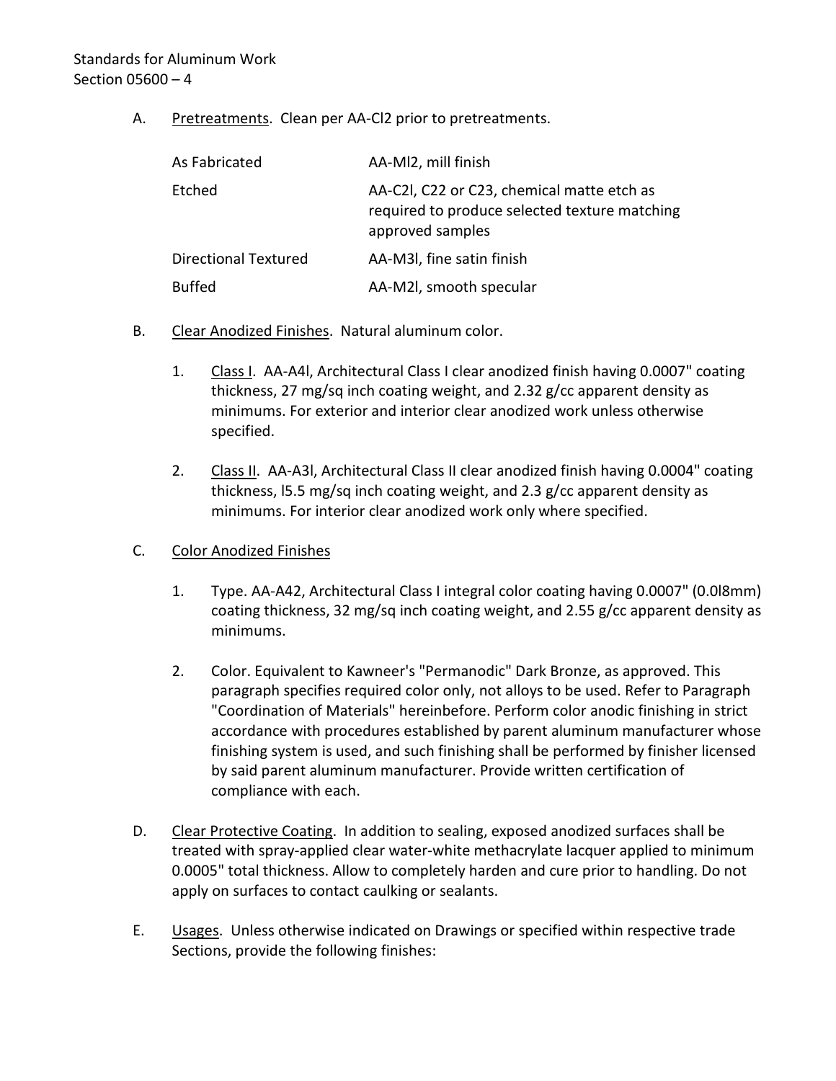A. Pretreatments. Clean per AA-Cl2 prior to pretreatments.

| As Fabricated               | AA-MI2, mill finish                                                                                             |
|-----------------------------|-----------------------------------------------------------------------------------------------------------------|
| Etched                      | AA-C2I, C22 or C23, chemical matte etch as<br>required to produce selected texture matching<br>approved samples |
| <b>Directional Textured</b> | AA-M3I, fine satin finish                                                                                       |
| <b>Buffed</b>               | AA-M2I, smooth specular                                                                                         |

- B. Clear Anodized Finishes. Natural aluminum color.
	- 1. Class I. AA-A4l, Architectural Class I clear anodized finish having 0.0007" coating thickness, 27 mg/sq inch coating weight, and 2.32 g/cc apparent density as minimums. For exterior and interior clear anodized work unless otherwise specified.
	- 2. Class II. AA-A3I, Architectural Class II clear anodized finish having 0.0004" coating thickness, l5.5 mg/sq inch coating weight, and 2.3 g/cc apparent density as minimums. For interior clear anodized work only where specified.
- C. Color Anodized Finishes
	- 1. Type. AA-A42, Architectural Class I integral color coating having 0.0007" (0.0l8mm) coating thickness, 32 mg/sq inch coating weight, and 2.55 g/cc apparent density as minimums.
	- 2. Color. Equivalent to Kawneer's "Permanodic" Dark Bronze, as approved. This paragraph specifies required color only, not alloys to be used. Refer to Paragraph "Coordination of Materials" hereinbefore. Perform color anodic finishing in strict accordance with procedures established by parent aluminum manufacturer whose finishing system is used, and such finishing shall be performed by finisher licensed by said parent aluminum manufacturer. Provide written certification of compliance with each.
- D. Clear Protective Coating. In addition to sealing, exposed anodized surfaces shall be treated with spray-applied clear water-white methacrylate lacquer applied to minimum 0.0005" total thickness. Allow to completely harden and cure prior to handling. Do not apply on surfaces to contact caulking or sealants.
- E. Usages. Unless otherwise indicated on Drawings or specified within respective trade Sections, provide the following finishes: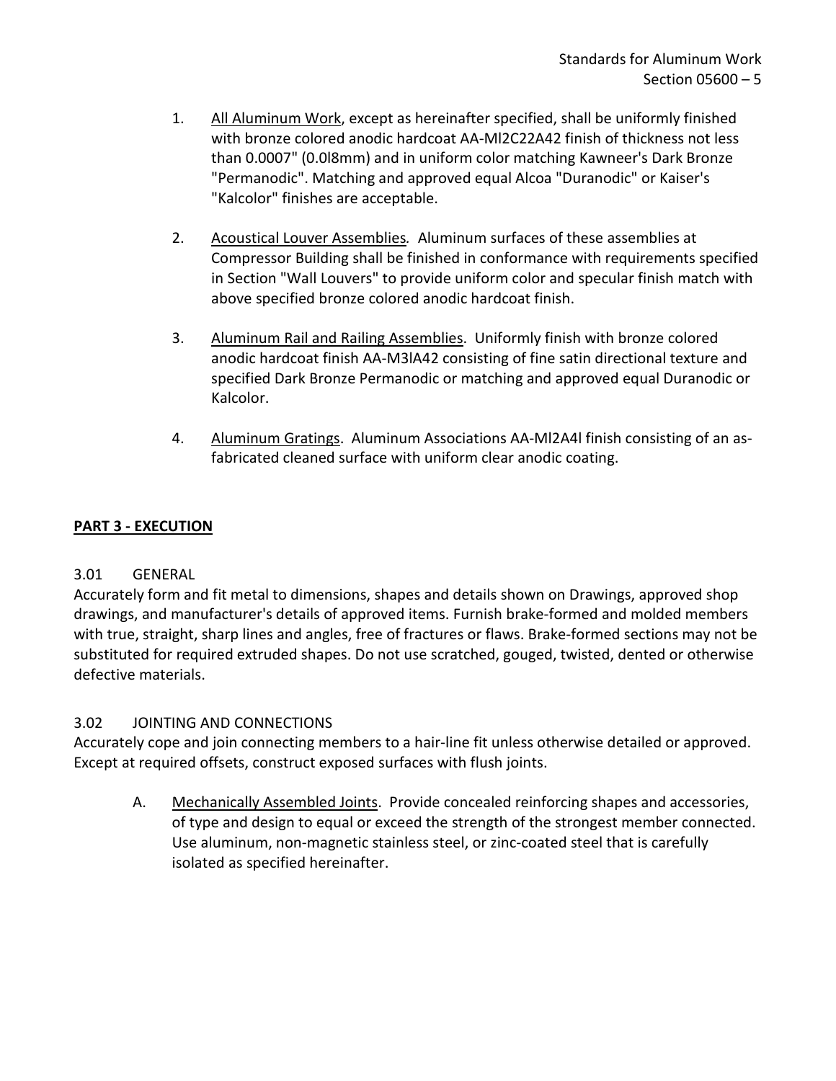- 1. All Aluminum Work, except as hereinafter specified, shall be uniformly finished with bronze colored anodic hardcoat AA-Ml2C22A42 finish of thickness not less than 0.0007" (0.0l8mm) and in uniform color matching Kawneer's Dark Bronze "Permanodic". Matching and approved equal Alcoa "Duranodic" or Kaiser's "Kalcolor" finishes are acceptable.
- 2. Acoustical Louver Assemblies*.* Aluminum surfaces of these assemblies at Compressor Building shall be finished in conformance with requirements specified in Section "Wall Louvers" to provide uniform color and specular finish match with above specified bronze colored anodic hardcoat finish.
- 3. Aluminum Rail and Railing Assemblies. Uniformly finish with bronze colored anodic hardcoat finish AA-M3lA42 consisting of fine satin directional texture and specified Dark Bronze Permanodic or matching and approved equal Duranodic or Kalcolor.
- 4. Aluminum Gratings. Aluminum Associations AA-Ml2A4l finish consisting of an asfabricated cleaned surface with uniform clear anodic coating.

# <span id="page-6-0"></span>**PART 3 - EXECUTION**

# <span id="page-6-1"></span>3.01 GENERAL

Accurately form and fit metal to dimensions, shapes and details shown on Drawings, approved shop drawings, and manufacturer's details of approved items. Furnish brake-formed and molded members with true, straight, sharp lines and angles, free of fractures or flaws. Brake-formed sections may not be substituted for required extruded shapes. Do not use scratched, gouged, twisted, dented or otherwise defective materials.

# <span id="page-6-2"></span>3.02 JOINTING AND CONNECTIONS

Accurately cope and join connecting members to a hair-line fit unless otherwise detailed or approved. Except at required offsets, construct exposed surfaces with flush joints.

A. Mechanically Assembled Joints. Provide concealed reinforcing shapes and accessories, of type and design to equal or exceed the strength of the strongest member connected. Use aluminum, non-magnetic stainless steel, or zinc-coated steel that is carefully isolated as specified hereinafter.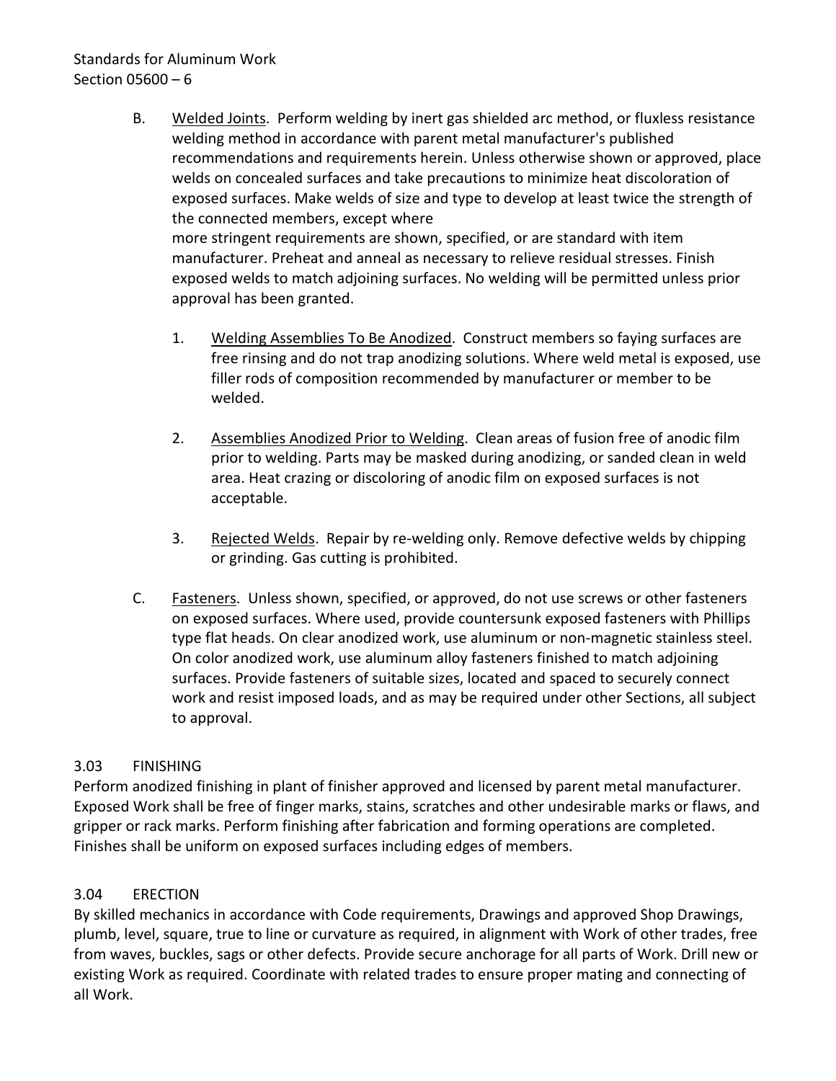## Standards for Aluminum Work Section 05600 – 6

- B. Welded Joints. Perform welding by inert gas shielded arc method, or fluxless resistance welding method in accordance with parent metal manufacturer's published recommendations and requirements herein. Unless otherwise shown or approved, place welds on concealed surfaces and take precautions to minimize heat discoloration of exposed surfaces. Make welds of size and type to develop at least twice the strength of the connected members, except where more stringent requirements are shown, specified, or are standard with item manufacturer. Preheat and anneal as necessary to relieve residual stresses. Finish exposed welds to match adjoining surfaces. No welding will be permitted unless prior approval has been granted.
	- 1. Welding Assemblies To Be Anodized. Construct members so faying surfaces are free rinsing and do not trap anodizing solutions. Where weld metal is exposed, use filler rods of composition recommended by manufacturer or member to be welded.
	- 2. Assemblies Anodized Prior to Welding. Clean areas of fusion free of anodic film prior to welding. Parts may be masked during anodizing, or sanded clean in weld area. Heat crazing or discoloring of anodic film on exposed surfaces is not acceptable.
	- 3. Rejected Welds. Repair by re-welding only. Remove defective welds by chipping or grinding. Gas cutting is prohibited.
- C. Fasteners. Unless shown, specified, or approved, do not use screws or other fasteners on exposed surfaces. Where used, provide countersunk exposed fasteners with Phillips type flat heads. On clear anodized work, use aluminum or non-magnetic stainless steel. On color anodized work, use aluminum alloy fasteners finished to match adjoining surfaces. Provide fasteners of suitable sizes, located and spaced to securely connect work and resist imposed loads, and as may be required under other Sections, all subject to approval.

# <span id="page-7-0"></span>3.03 FINISHING

Perform anodized finishing in plant of finisher approved and licensed by parent metal manufacturer. Exposed Work shall be free of finger marks, stains, scratches and other undesirable marks or flaws, and gripper or rack marks. Perform finishing after fabrication and forming operations are completed. Finishes shall be uniform on exposed surfaces including edges of members.

### <span id="page-7-1"></span>3.04 ERECTION

By skilled mechanics in accordance with Code requirements, Drawings and approved Shop Drawings, plumb, level, square, true to line or curvature as required, in alignment with Work of other trades, free from waves, buckles, sags or other defects. Provide secure anchorage for all parts of Work. Drill new or existing Work as required. Coordinate with related trades to ensure proper mating and connecting of all Work.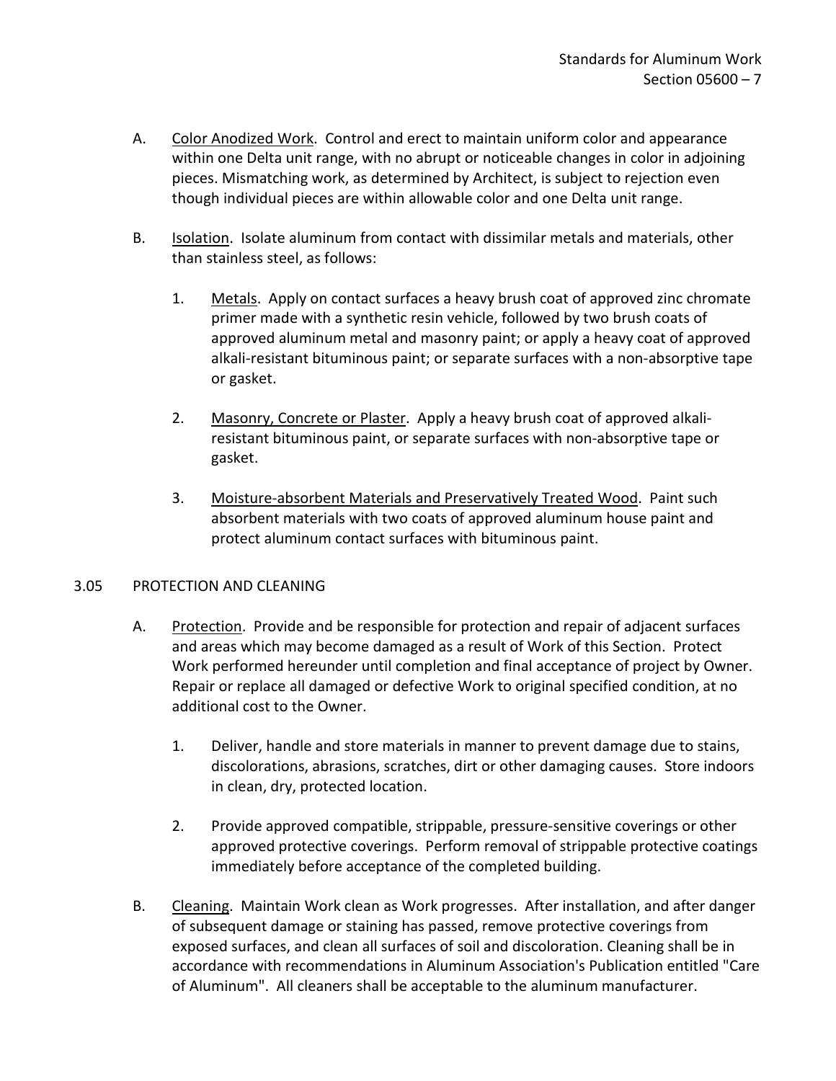- A. Color Anodized Work. Control and erect to maintain uniform color and appearance within one Delta unit range, with no abrupt or noticeable changes in color in adjoining pieces. Mismatching work, as determined by Architect, is subject to rejection even though individual pieces are within allowable color and one Delta unit range.
- B. Isolation. Isolate aluminum from contact with dissimilar metals and materials, other than stainless steel, as follows:
	- 1. Metals. Apply on contact surfaces a heavy brush coat of approved zinc chromate primer made with a synthetic resin vehicle, followed by two brush coats of approved aluminum metal and masonry paint; or apply a heavy coat of approved alkali-resistant bituminous paint; or separate surfaces with a non-absorptive tape or gasket.
	- 2. Masonry, Concrete or Plaster. Apply a heavy brush coat of approved alkaliresistant bituminous paint, or separate surfaces with non-absorptive tape or gasket.
	- 3. Moisture-absorbent Materials and Preservatively Treated Wood. Paint such absorbent materials with two coats of approved aluminum house paint and protect aluminum contact surfaces with bituminous paint.

#### <span id="page-8-0"></span>3.05 PROTECTION AND CLEANING

- A. Protection. Provide and be responsible for protection and repair of adjacent surfaces and areas which may become damaged as a result of Work of this Section. Protect Work performed hereunder until completion and final acceptance of project by Owner. Repair or replace all damaged or defective Work to original specified condition, at no additional cost to the Owner.
	- 1. Deliver, handle and store materials in manner to prevent damage due to stains, discolorations, abrasions, scratches, dirt or other damaging causes. Store indoors in clean, dry, protected location.
	- 2. Provide approved compatible, strippable, pressure-sensitive coverings or other approved protective coverings. Perform removal of strippable protective coatings immediately before acceptance of the completed building.
- B. Cleaning. Maintain Work clean as Work progresses. After installation, and after danger of subsequent damage or staining has passed, remove protective coverings from exposed surfaces, and clean all surfaces of soil and discoloration. Cleaning shall be in accordance with recommendations in Aluminum Association's Publication entitled "Care of Aluminum". All cleaners shall be acceptable to the aluminum manufacturer.